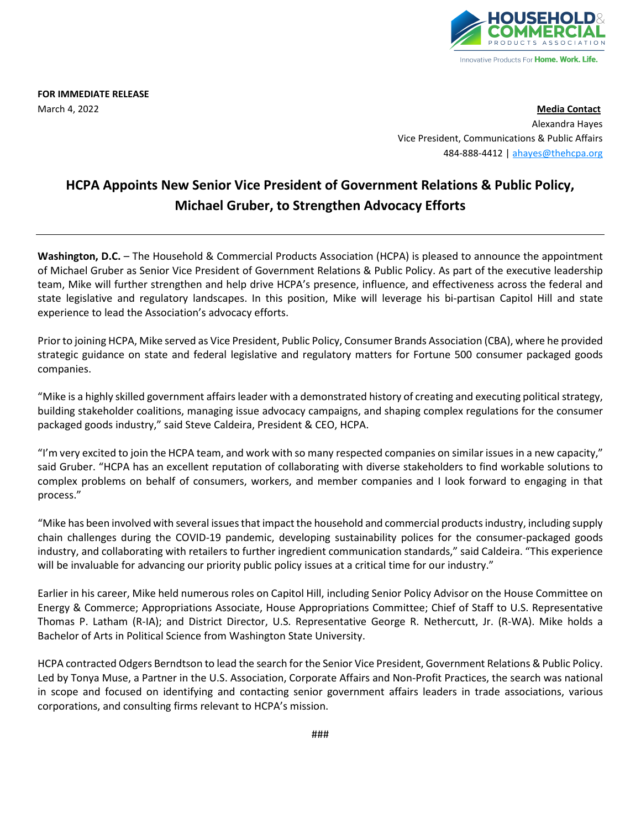

**FOR IMMEDIATE RELEASE**

March 4, 2022 **Media Contact** Alexandra Hayes Vice President, Communications & Public Affairs 484-888-4412 [| ahayes@thehcpa.org](mailto:ahayes@thehcpa.org)

## **HCPA Appoints New Senior Vice President of Government Relations & Public Policy, Michael Gruber, to Strengthen Advocacy Efforts**

**Washington, D.C.** – The Household & Commercial Products Association (HCPA) is pleased to announce the appointment of Michael Gruber as Senior Vice President of Government Relations & Public Policy. As part of the executive leadership team, Mike will further strengthen and help drive HCPA's presence, influence, and effectiveness across the federal and state legislative and regulatory landscapes. In this position, Mike will leverage his bi-partisan Capitol Hill and state experience to lead the Association's advocacy efforts.

Prior to joining HCPA, Mike served as Vice President, Public Policy, Consumer Brands Association (CBA), where he provided strategic guidance on state and federal legislative and regulatory matters for Fortune 500 consumer packaged goods companies.

"Mike is a highly skilled government affairs leader with a demonstrated history of creating and executing political strategy, building stakeholder coalitions, managing issue advocacy campaigns, and shaping complex regulations for the consumer packaged goods industry," said Steve Caldeira, President & CEO, HCPA.

"I'm very excited to join the HCPA team, and work with so many respected companies on similar issues in a new capacity," said Gruber. "HCPA has an excellent reputation of collaborating with diverse stakeholders to find workable solutions to complex problems on behalf of consumers, workers, and member companies and I look forward to engaging in that process."

"Mike has been involved with several issues that impact the household and commercial products industry, including supply chain challenges during the COVID-19 pandemic, developing sustainability polices for the consumer-packaged goods industry, and collaborating with retailers to further ingredient communication standards," said Caldeira. "This experience will be invaluable for advancing our priority public policy issues at a critical time for our industry."

Earlier in his career, Mike held numerous roles on Capitol Hill, including Senior Policy Advisor on the House Committee on Energy & Commerce; Appropriations Associate, House Appropriations Committee; Chief of Staff to U.S. Representative Thomas P. Latham (R-IA); and District Director, U.S. Representative George R. Nethercutt, Jr. (R-WA). Mike holds a Bachelor of Arts in Political Science from Washington State University.

HCPA contracted Odgers Berndtson to lead the search for the Senior Vice President, Government Relations & Public Policy. Led by Tonya Muse, a Partner in the U.S. Association, Corporate Affairs and Non-Profit Practices, the search was national in scope and focused on identifying and contacting senior government affairs leaders in trade associations, various corporations, and consulting firms relevant to HCPA's mission.